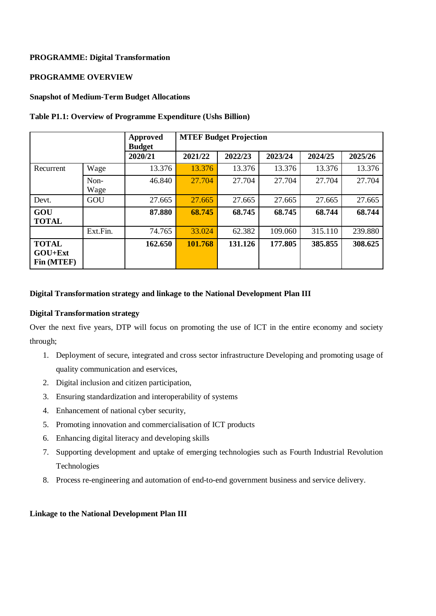### **PROGRAMME: Digital Transformation**

## **PROGRAMME OVERVIEW**

#### **Snapshot of Medium-Term Budget Allocations**

#### **Table P1.1: Overview of Programme Expenditure (Ushs Billion)**

|                                         |              | <b>Approved</b><br><b>Budget</b> | <b>MTEF Budget Projection</b> |         |         |         |         |  |
|-----------------------------------------|--------------|----------------------------------|-------------------------------|---------|---------|---------|---------|--|
|                                         |              | 2020/21                          | 2021/22                       | 2022/23 | 2023/24 | 2024/25 | 2025/26 |  |
| Recurrent                               | Wage         | 13.376                           | 13.376                        | 13.376  | 13.376  | 13.376  | 13.376  |  |
|                                         | Non-<br>Wage | 46.840                           | 27.704                        | 27.704  | 27.704  | 27.704  | 27.704  |  |
| Devt.                                   | GOU          | 27.665                           | 27.665                        | 27.665  | 27.665  | 27.665  | 27.665  |  |
| GOU<br><b>TOTAL</b>                     |              | 87.880                           | 68.745                        | 68.745  | 68.745  | 68.744  | 68.744  |  |
|                                         | Ext.Fin.     | 74.765                           | 33.024                        | 62.382  | 109.060 | 315.110 | 239.880 |  |
| <b>TOTAL</b><br>$GOU+Ext$<br>Fin (MTEF) |              | 162.650                          | 101.768                       | 131.126 | 177.805 | 385.855 | 308.625 |  |

### **Digital Transformation strategy and linkage to the National Development Plan III**

#### **Digital Transformation strategy**

Over the next five years, DTP will focus on promoting the use of ICT in the entire economy and society through;

- 1. Deployment of secure, integrated and cross sector infrastructure Developing and promoting usage of quality communication and eservices,
- 2. Digital inclusion and citizen participation,
- 3. Ensuring standardization and interoperability of systems
- 4. Enhancement of national cyber security,
- 5. Promoting innovation and commercialisation of ICT products
- 6. Enhancing digital literacy and developing skills
- 7. Supporting development and uptake of emerging technologies such as Fourth Industrial Revolution Technologies
- 8. Process re-engineering and automation of end-to-end government business and service delivery.

### **Linkage to the National Development Plan III**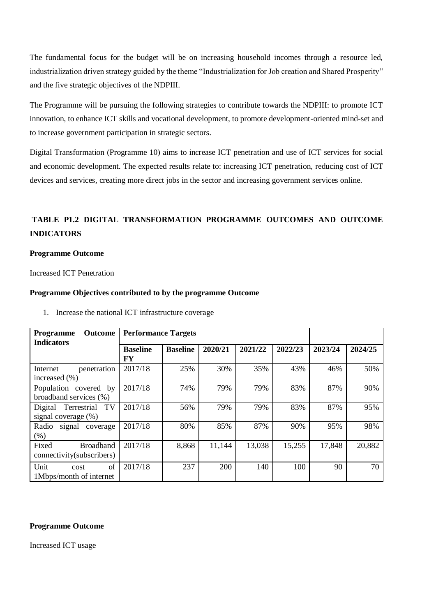The fundamental focus for the budget will be on increasing household incomes through a resource led, industrialization driven strategy guided by the theme "Industrialization for Job creation and Shared Prosperity" and the five strategic objectives of the NDPIII.

The Programme will be pursuing the following strategies to contribute towards the NDPIII: to promote ICT innovation, to enhance ICT skills and vocational development, to promote development-oriented mind-set and to increase government participation in strategic sectors.

Digital Transformation (Programme 10) aims to increase ICT penetration and use of ICT services for social and economic development. The expected results relate to: increasing ICT penetration, reducing cost of ICT devices and services, creating more direct jobs in the sector and increasing government services online.

# **TABLE P1.2 DIGITAL TRANSFORMATION PROGRAMME OUTCOMES AND OUTCOME INDICATORS**

### **Programme Outcome**

Increased ICT Penetration

#### **Programme Objectives contributed to by the programme Outcome**

| <b>Outcome</b><br><b>Programme</b><br><b>Indicators</b> | <b>Performance Targets</b> |                 |         |         |         |         |         |
|---------------------------------------------------------|----------------------------|-----------------|---------|---------|---------|---------|---------|
|                                                         | <b>Baseline</b><br>FY      | <b>Baseline</b> | 2020/21 | 2021/22 | 2022/23 | 2023/24 | 2024/25 |
| penetration<br>Internet<br>increased $(\% )$            | 2017/18                    | 25%             | 30%     | 35%     | 43%     | 46%     | 50%     |
| Population covered by<br>broadband services (%)         | 2017/18                    | 74%             | 79%     | 79%     | 83%     | 87%     | 90%     |
| TV<br>Terrestrial<br>Digital<br>signal coverage (%)     | 2017/18                    | 56%             | 79%     | 79%     | 83%     | 87%     | 95%     |
| Radio<br>signal<br>coverage<br>(% )                     | 2017/18                    | 80%             | 85%     | 87%     | 90%     | 95%     | 98%     |
| <b>Broadband</b><br>Fixed<br>connectivity(subscribers)  | 2017/18                    | 8,868           | 11,144  | 13,038  | 15,255  | 17,848  | 20,882  |
| of<br>Unit<br>cost<br>1Mbps/month of internet           | 2017/18                    | 237             | 200     | 140     | 100     | 90      | 70      |

1. Increase the national ICT infrastructure coverage

#### **Programme Outcome**

Increased ICT usage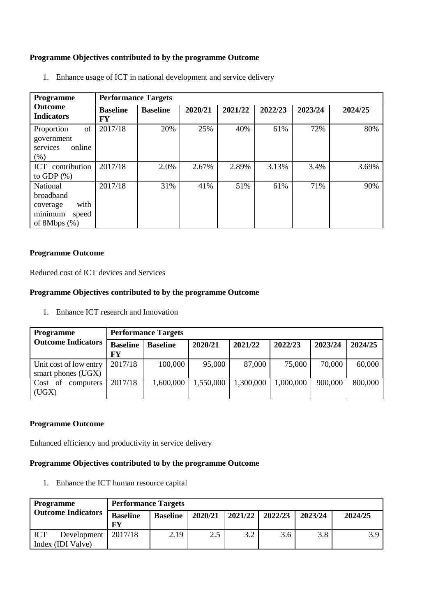### **Programme Objectives contributed to by the programme Outcome**

| Programme                                                                               | <b>Performance Targets</b> |                 |         |         |         |         |         |  |  |  |  |  |
|-----------------------------------------------------------------------------------------|----------------------------|-----------------|---------|---------|---------|---------|---------|--|--|--|--|--|
| <b>Outcome</b><br><b>Indicators</b>                                                     | <b>Baseline</b><br>FY      | <b>Baseline</b> | 2020/21 | 2021/22 | 2022/23 | 2023/24 | 2024/25 |  |  |  |  |  |
| of<br>Proportion<br>government<br>online<br>services<br>$(\%)$                          | 2017/18                    | 20%             | 25%     | 40%     | 61%     | 72%     | 80%     |  |  |  |  |  |
| ICT contribution<br>to GDP $(\%)$                                                       | 2017/18                    | 2.0%            | 2.67%   | 2.89%   | 3.13%   | 3.4%    | 3.69%   |  |  |  |  |  |
| National<br><b>broadband</b><br>with<br>coverage<br>minimum<br>speed<br>of 8Mbps $(\%)$ | 2017/18                    | 31%             | 41%     | 51%     | 61%     | 71%     | 90%     |  |  |  |  |  |

1. Enhance usage of ICT in national development and service delivery

## **Programme Outcome**

Reduced cost of ICT devices and Services

## **Programme Objectives contributed to by the programme Outcome**

1. Enhance ICT research and Innovation

| <b>Programme</b>                             |                       | <b>Performance Targets</b> |           |           |           |         |         |  |  |  |  |  |
|----------------------------------------------|-----------------------|----------------------------|-----------|-----------|-----------|---------|---------|--|--|--|--|--|
| <b>Outcome Indicators</b>                    | <b>Baseline</b><br>FY | <b>Baseline</b>            | 2020/21   | 2021/22   | 2022/23   | 2023/24 | 2024/25 |  |  |  |  |  |
| Unit cost of low entry<br>smart phones (UGX) | 2017/18               | 100,000                    | 95,000    | 87,000    | 75,000    | 70,000  | 60,000  |  |  |  |  |  |
| of<br>Cost<br>computers<br>(UGX)             | 2017/18               | 1,600,000                  | 1,550,000 | 1,300,000 | 1,000,000 | 900,000 | 800,000 |  |  |  |  |  |

### **Programme Outcome**

Enhanced efficiency and productivity in service delivery

# **Programme Objectives contributed to by the programme Outcome**

1. Enhance the ICT human resource capital

| <b>Programme</b>                        | <b>Performance Targets</b> |                 |         |                     |     |         |         |  |  |  |
|-----------------------------------------|----------------------------|-----------------|---------|---------------------|-----|---------|---------|--|--|--|
| <b>Outcome Indicators</b>               | <b>Baseline</b><br>FY      | <b>Baseline</b> | 2020/21 | $2021/22$   2022/23 |     | 2023/24 | 2024/25 |  |  |  |
| ICT<br>Development<br>Index (IDI Valve) | 2017/18                    | 2.19            | 2.5     | 3.2                 | 3.6 | 3.8     | 3 Q     |  |  |  |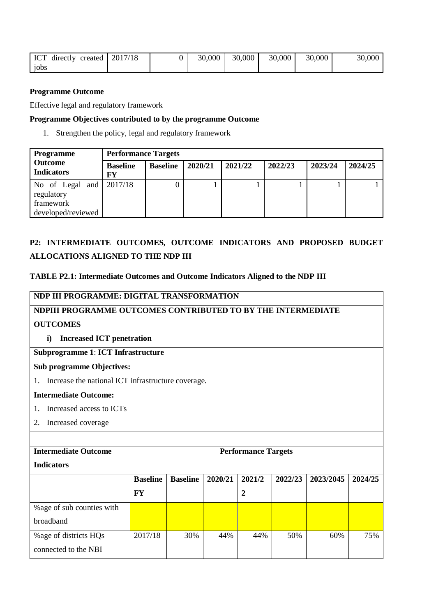| <b>ICT</b><br>directly<br>created | 2017/18 | 30,000 | 30,000 | 30,000 | 30,000 | 30,000 |
|-----------------------------------|---------|--------|--------|--------|--------|--------|
| jobs                              |         |        |        |        |        |        |

### **Programme Outcome**

Effective legal and regulatory framework

### **Programme Objectives contributed to by the programme Outcome**

1. Strengthen the policy, legal and regulatory framework

| Programme                                                                         | <b>Performance Targets</b> |                 |         |         |         |         |         |  |  |  |  |
|-----------------------------------------------------------------------------------|----------------------------|-----------------|---------|---------|---------|---------|---------|--|--|--|--|
| Outcome<br><b>Indicators</b>                                                      | <b>Baseline</b><br>FY      | <b>Baseline</b> | 2020/21 | 2021/22 | 2022/23 | 2023/24 | 2024/25 |  |  |  |  |
| No of Legal and $\sqrt{2017/18}$<br>regulatory<br>framework<br>developed/reviewed |                            |                 |         |         |         |         |         |  |  |  |  |

# **P2: INTERMEDIATE OUTCOMES, OUTCOME INDICATORS AND PROPOSED BUDGET ALLOCATIONS ALIGNED TO THE NDP III**

### **TABLE P2.1: Intermediate Outcomes and Outcome Indicators Aligned to the NDP III**

# **NDP III PROGRAMME: DIGITAL TRANSFORMATION**

## **NDPIII PROGRAMME OUTCOMES CONTRIBUTED TO BY THE INTERMEDIATE**

# **OUTCOMES**

**i) Increased ICT penetration**

# **Subprogramme 1**: **ICT Infrastructure**

### **Sub programme Objectives:**

1. Increase the national ICT infrastructure coverage.

### **Intermediate Outcome:**

- 1. Increased access to ICTs
- 2. Increased coverage

## **Intermediate Outcome**

| <b>Indicators</b>          |                 |                 |         |        |         |           |         |
|----------------------------|-----------------|-----------------|---------|--------|---------|-----------|---------|
|                            | <b>Baseline</b> | <b>Baseline</b> | 2020/21 | 2021/2 | 2022/23 | 2023/2045 | 2024/25 |
|                            | FY              |                 |         | 2      |         |           |         |
| % age of sub counties with |                 |                 |         |        |         |           |         |
| broadband                  |                 |                 |         |        |         |           |         |
| % age of districts HQs     | 2017/18         | 30%             | 44%     | 44%    | 50%     | 60%       | 75%     |
| connected to the NBI       |                 |                 |         |        |         |           |         |

**Performance Targets**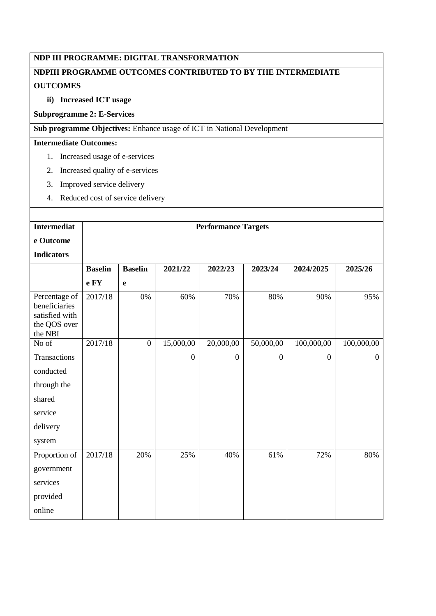# **NDP III PROGRAMME: DIGITAL TRANSFORMATION**

# **NDPIII PROGRAMME OUTCOMES CONTRIBUTED TO BY THE INTERMEDIATE OUTCOMES**

# **ii) Increased ICT usage**

## **Subprogramme 2: E-Services**

**Sub programme Objectives:** Enhance usage of ICT in National Development

## **Intermediate Outcomes:**

- 1. Increased usage of e-services
- 2. Increased quality of e-services
- 3. Improved service delivery
- 4. Reduced cost of service delivery

| <b>Intermediat</b>                                                          |                |                  |              | <b>Performance Targets</b> |                |                |                  |
|-----------------------------------------------------------------------------|----------------|------------------|--------------|----------------------------|----------------|----------------|------------------|
|                                                                             |                |                  |              |                            |                |                |                  |
| e Outcome                                                                   |                |                  |              |                            |                |                |                  |
| <b>Indicators</b>                                                           |                |                  |              |                            |                |                |                  |
|                                                                             | <b>Baselin</b> | <b>Baselin</b>   | 2021/22      | 2022/23                    | 2023/24        | 2024/2025      | 2025/26          |
|                                                                             | e FY           | e                |              |                            |                |                |                  |
| Percentage of<br>beneficiaries<br>satisfied with<br>the QOS over<br>the NBI | 2017/18        | 0%               | 60%          | 70%                        | 80%            | 90%            | 95%              |
| No of                                                                       | 2017/18        | $\boldsymbol{0}$ | 15,000,00    | 20,000,00                  | 50,000,00      | 100,000,00     | 100,000,00       |
| Transactions                                                                |                |                  | $\mathbf{0}$ | $\boldsymbol{0}$           | $\overline{0}$ | $\overline{0}$ | $\boldsymbol{0}$ |
| conducted                                                                   |                |                  |              |                            |                |                |                  |
| through the                                                                 |                |                  |              |                            |                |                |                  |
| shared                                                                      |                |                  |              |                            |                |                |                  |
| service                                                                     |                |                  |              |                            |                |                |                  |
| delivery                                                                    |                |                  |              |                            |                |                |                  |
| system                                                                      |                |                  |              |                            |                |                |                  |
| Proportion of                                                               | 2017/18        | 20%              | 25%          | 40%                        | 61%            | 72%            | 80%              |
| government                                                                  |                |                  |              |                            |                |                |                  |
| services                                                                    |                |                  |              |                            |                |                |                  |
| provided                                                                    |                |                  |              |                            |                |                |                  |
| online                                                                      |                |                  |              |                            |                |                |                  |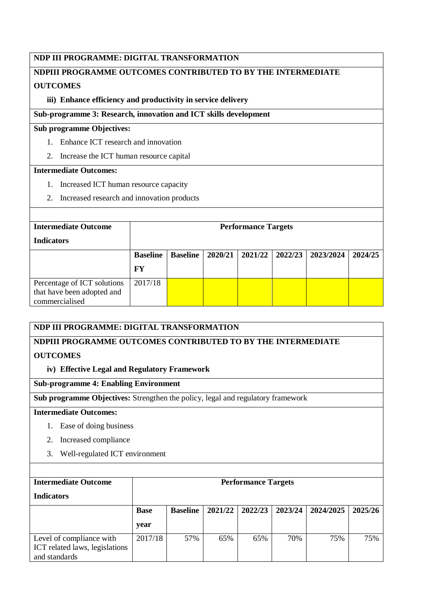## **NDP III PROGRAMME: DIGITAL TRANSFORMATION**

# **NDPIII PROGRAMME OUTCOMES CONTRIBUTED TO BY THE INTERMEDIATE OUTCOMES**

## **iii) Enhance efficiency and productivity in service delivery**

## **Sub-programme 3: Research, innovation and ICT skills development**

## **Sub programme Objectives:**

- 1. Enhance ICT research and innovation
- 2. Increase the ICT human resource capital

### **Intermediate Outcomes:**

- 1. Increased ICT human resource capacity
- 2. Increased research and innovation products

| <b>Intermediate Outcome</b> | <b>Performance Targets</b> |                 |         |         |         |           |         |  |  |  |  |
|-----------------------------|----------------------------|-----------------|---------|---------|---------|-----------|---------|--|--|--|--|
| <b>Indicators</b>           |                            |                 |         |         |         |           |         |  |  |  |  |
|                             | <b>Baseline</b>            | <b>Baseline</b> | 2020/21 | 2021/22 | 2022/23 | 2023/2024 | 2024/25 |  |  |  |  |
|                             | FY                         |                 |         |         |         |           |         |  |  |  |  |
| Percentage of ICT solutions | 2017/18                    |                 |         |         |         |           |         |  |  |  |  |
| that have been adopted and  |                            |                 |         |         |         |           |         |  |  |  |  |
| commercialised              |                            |                 |         |         |         |           |         |  |  |  |  |

## **NDP III PROGRAMME: DIGITAL TRANSFORMATION**

# **NDPIII PROGRAMME OUTCOMES CONTRIBUTED TO BY THE INTERMEDIATE**

## **OUTCOMES**

# **iv) Effective Legal and Regulatory Framework**

## **Sub-programme 4: Enabling Environment**

**Sub programme Objectives:** Strengthen the policy, legal and regulatory framework

# **Intermediate Outcomes:**

- 1. Ease of doing business
- 2. Increased compliance
- 3. Well-regulated ICT environment

| <b>Intermediate Outcome</b>    |             | <b>Performance Targets</b> |         |         |         |           |         |  |  |  |  |
|--------------------------------|-------------|----------------------------|---------|---------|---------|-----------|---------|--|--|--|--|
| <b>Indicators</b>              |             |                            |         |         |         |           |         |  |  |  |  |
|                                | <b>Base</b> | <b>Baseline</b>            | 2021/22 | 2022/23 | 2023/24 | 2024/2025 | 2025/26 |  |  |  |  |
|                                | year        |                            |         |         |         |           |         |  |  |  |  |
| Level of compliance with       | 2017/18     | 57%                        | 65%     | 65%     | 70%     | 75%       | 75%     |  |  |  |  |
| ICT related laws, legislations |             |                            |         |         |         |           |         |  |  |  |  |
| and standards                  |             |                            |         |         |         |           |         |  |  |  |  |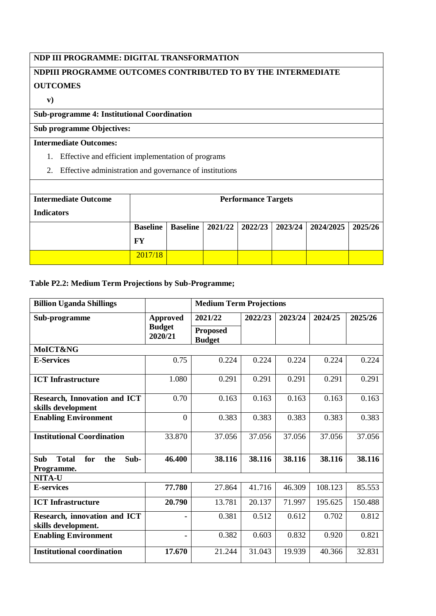# **NDP III PROGRAMME: DIGITAL TRANSFORMATION**

# **NDPIII PROGRAMME OUTCOMES CONTRIBUTED TO BY THE INTERMEDIATE OUTCOMES**

**v)**

# **Sub-programme 4: Institutional Coordination**

# **Sub programme Objectives:**

# **Intermediate Outcomes:**

- 1. Effective and efficient implementation of programs
- 2. Effective administration and governance of institutions

| <b>Intermediate Outcome</b><br><b>Indicators</b> |                                                                                       |  |  | <b>Performance Targets</b> |  |  |  |  |  |  |
|--------------------------------------------------|---------------------------------------------------------------------------------------|--|--|----------------------------|--|--|--|--|--|--|
|                                                  | Baseline   2021/22   2022/23   2023/24   2024/2025   2025/26<br><b>Baseline</b><br>FY |  |  |                            |  |  |  |  |  |  |
|                                                  | 2017/18                                                                               |  |  |                            |  |  |  |  |  |  |

## **Table P2.2: Medium Term Projections by Sub-Programme;**

| <b>Billion Uganda Shillings</b>                           |                                             | <b>Medium Term Projections</b>   |         |         |         |         |  |
|-----------------------------------------------------------|---------------------------------------------|----------------------------------|---------|---------|---------|---------|--|
| Sub-programme                                             | <b>Approved</b><br><b>Budget</b><br>2020/21 | 2021/22                          | 2022/23 | 2023/24 | 2024/25 | 2025/26 |  |
|                                                           |                                             | <b>Proposed</b><br><b>Budget</b> |         |         |         |         |  |
| MoICT&NG                                                  |                                             |                                  |         |         |         |         |  |
| <b>E-Services</b>                                         | 0.75                                        | 0.224                            | 0.224   | 0.224   | 0.224   | 0.224   |  |
| <b>ICT</b> Infrastructure                                 | 1.080                                       | 0.291                            | 0.291   | 0.291   | 0.291   | 0.291   |  |
| <b>Research, Innovation and ICT</b><br>skills development | 0.70                                        | 0.163                            | 0.163   | 0.163   | 0.163   | 0.163   |  |
| <b>Enabling Environment</b>                               | $\overline{0}$                              | 0.383                            | 0.383   | 0.383   | 0.383   | 0.383   |  |
| <b>Institutional Coordination</b>                         | 33.870                                      | 37.056                           | 37.056  | 37.056  | 37.056  | 37.056  |  |
| <b>Total</b><br>Sub<br>for<br>Sub-<br>the<br>Programme.   | 46.400                                      | 38.116                           | 38.116  | 38.116  | 38.116  | 38.116  |  |
| <b>NITA-U</b>                                             |                                             |                                  |         |         |         |         |  |
| <b>E-services</b>                                         | 77.780                                      | 27.864                           | 41.716  | 46.309  | 108.123 | 85.553  |  |
| <b>ICT</b> Infrastructure                                 | 20.790                                      | 13.781                           | 20.137  | 71.997  | 195.625 | 150.488 |  |
| Research, innovation and ICT<br>skills development.       |                                             | 0.381                            | 0.512   | 0.612   | 0.702   | 0.812   |  |
| <b>Enabling Environment</b>                               |                                             | 0.382                            | 0.603   | 0.832   | 0.920   | 0.821   |  |
| <b>Institutional coordination</b>                         | 17.670                                      | 21.244                           | 31.043  | 19.939  | 40.366  | 32.831  |  |